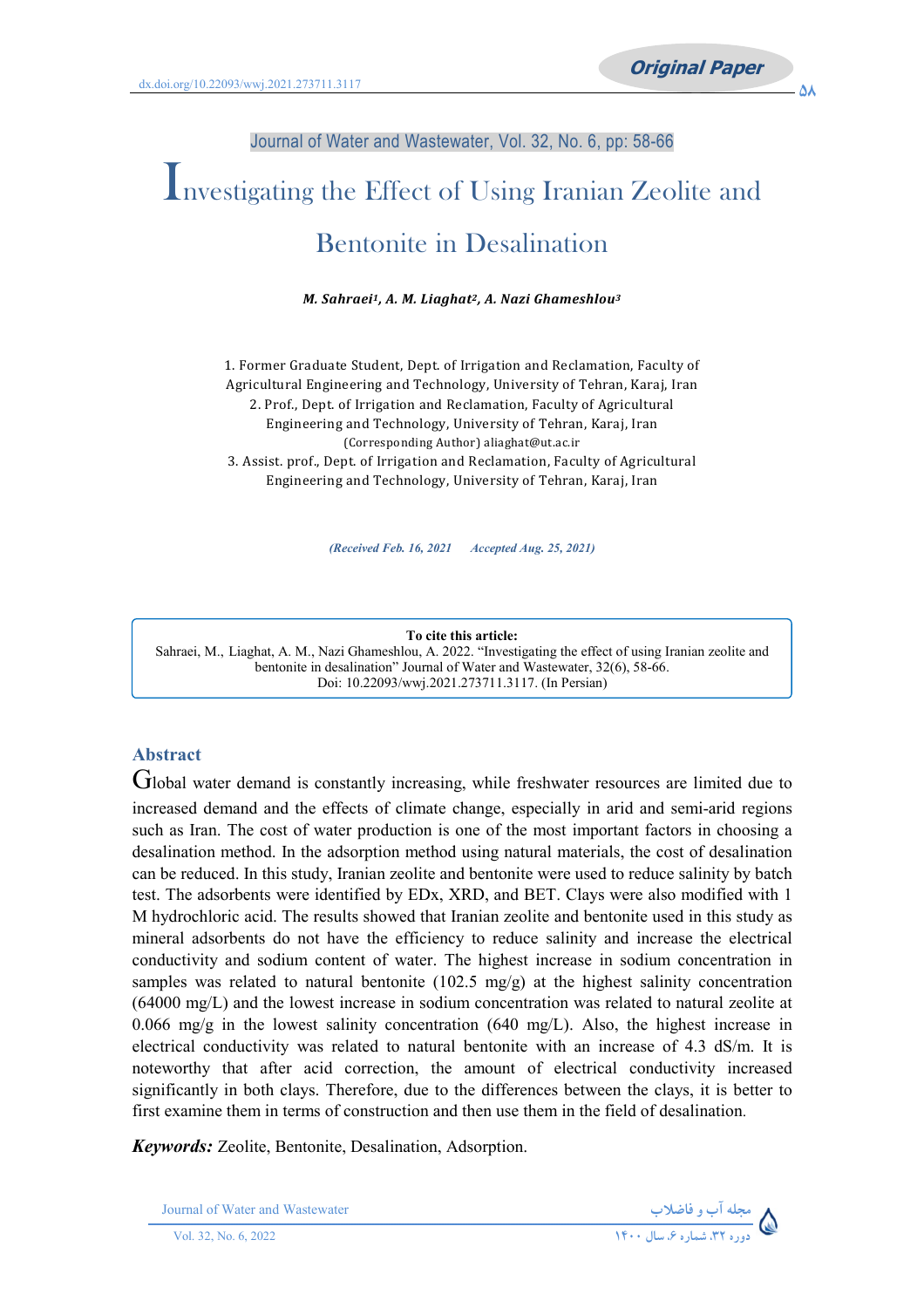#### Journal of Water and Wastewater, Vol. 32, No. 6, pp: 58-66

# Investigating the Effect of Using Iranian Zeolite and Bentonite in Desalination

*M. Sahraei1, A. M. Liaghat2, A. Nazi Ghameshlou3*

1. Former Graduate Student, Dept. of Irrigation and Reclamation, Faculty of Agricultural Engineering and Technology, University of Tehran, Karaj, Iran 2. Prof., Dept. of Irrigation and Reclamation, Faculty of Agricultural Engineering and Technology, University of Tehran, Karaj, Iran (Corresponding Author) aliaghat@ut.ac.ir 3. Assist. prof., Dept. of Irrigation and Reclamation, Faculty of Agricultural Engineering and Technology, University of Tehran, Karaj, Iran

*(Received Feb. 16, 2021 Accepted Aug. 25, 2021)*

#### **To cite this article:**

Sahraei, M., Liaghat, A. M., Nazi Ghameshlou, A. 2022. "Investigating the effect of using Iranian zeolite and bentonite in desalination" Journal of Water and Wastewater, 32(6), 58-66. Doi: 10.22093/wwj.2021.273711.3117. (In Persian)

#### **Abstract**

Global water demand is constantly increasing, while freshwater resources are limited due to increased demand and the effects of climate change, especially in arid and semi-arid regions such as Iran. The cost of water production is one of the most important factors in choosing a desalination method. In the adsorption method using natural materials, the cost of desalination can be reduced. In this study, Iranian zeolite and bentonite were used to reduce salinity by batch test. The adsorbents were identified by EDx, XRD, and BET. Clays were also modified with 1 M hydrochloric acid. The results showed that Iranian zeolite and bentonite used in this study as mineral adsorbents do not have the efficiency to reduce salinity and increase the electrical conductivity and sodium content of water. The highest increase in sodium concentration in samples was related to natural bentonite (102.5 mg/g) at the highest salinity concentration (64000 mg/L) and the lowest increase in sodium concentration was related to natural zeolite at 0.066 mg/g in the lowest salinity concentration (640 mg/L). Also, the highest increase in electrical conductivity was related to natural bentonite with an increase of 4.3 dS/m. It is noteworthy that after acid correction, the amount of electrical conductivity increased significantly in both clays. Therefore, due to the differences between the clays, it is better to first examine them in terms of construction and then use them in the field of desalination.

*Keywords:* Zeolite, Bentonite, Desalination, Adsorption.

Journal of Water and Wastewater **-**

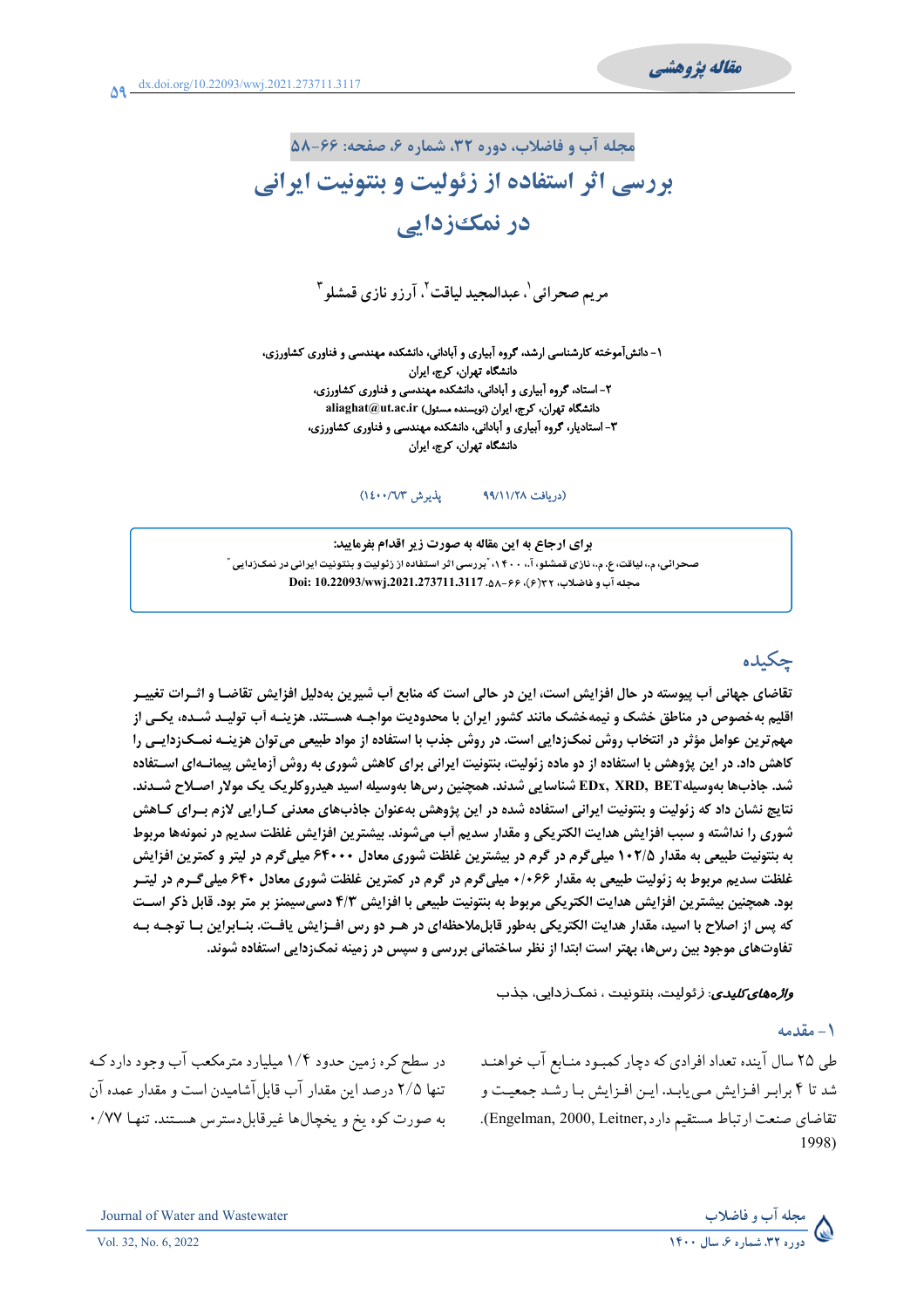مقاله يژوهشي

مجله آب و فاضلاب، دوره ۳۲، شماره ۶، صفحه: ۶۶-۵۸

## بررسی اثر استفاده از زئولیت و بنتونیت ایرانی در نمک≤زدایی

مريم صحرائي'، عبدالمجيد لياقت'، آرزو نازي قمشلو "

۱- دانشآموخته کارشناسی ارشد، گروه آبیاری و آبادانی، دانشکده مهندسی و فناوری کشاورزی، دانشگاه تهران، کرج، ایران ۲- استاد، گروه آبیاری و آبادانی، دانشکده مهندسی و فناوری کشاورزی، دانشگاه تهران، كرج، ايران (نويسنده مسئول) aliaghat@ut.ac.ir ۳- استادیار، گروه آبیاری و آبادانی، دانشکده مهندسی و فناوری کشاورزی، دانشگاه تهران، کرج، ایران

> يذيرش ١٤٠٠/٦/٣) (دریافت ۹۹/۱۱/۲۸

برای ارجاع به این مقاله به صورت زیر اقدام بفرمایید: صحرائی، م.، لیاقت، ع. م.، نازی قمشلو، آ.، ۴۰۰، "بررسی اثر استفاده از زئولیت و بنتونیت ایرانی در نمک(دایی " Doi: 10.22093/wwj.2021.273711.3117 . هـ - ٨٨- ٢٩

## چکیده

تقاضای جهانی آب پیوسته در حال افزایش است، این در حالی است که منابع آب شیرین بهدلیل افزایش تقاضـا و اثــرات تغییــر اقلیم بهخصوص در مناطق خشک و نیمهخشک مانند کشور ایران با محدودیت مواجـه هســتند. هزینــه آب تولیــد شــده، یکــی از مهم ترین عوامل مؤثر در انتخاب روش نمکزدایی است. در روش جذب با استفاده از مواد طبیعی می توان هزینـه نمـکزدایـی را کاهش داد. در این پژوهش با استفاده از دو ماده زئولیت، بنتونیت ایرانی برای کاهش شوری به روش آزمایش پیمانـهای اسـتفاده شد. جاذبها بهوسيله EDx, XRD, BET شناسايي شدند. همچنين رس۵ا بهوسيله اسيد هيدروكلريك يک مولار اصـلاح شــدند. نتايج نشان داد كه زئوليت و بنتونيت ايراني استفاده شده در اين پژوهش بهعنوان جاذبهاي معدني كـارايي لازم بـراي كـاهش شوری را نداشته و سبب افزایش هدایت الکتریکی و مقدار سدیم آب میشوند. بیشترین افزایش غلظت سدیم در نمونهها مربوط به بنتونیت طبیعی به مقدار ۱۰۲/۵ میلیگرم در گرم در بیشترین غلظت شوری معادل ۶۴۰۰۰ میلیگرم در لیتر و کمترین افزایش غلظت سدیم مربوط به زئولیت طبیعی به مقدار ۱۰۶۶۶ میلیگرم در گرم در کمترین غلظت شوری معادل ۶۴۰ میلیگرم در لیتـر بود. همچنین بیشترین افزایش هدایت الکتریکی مربوط به بنتونیت طبیعی با افزایش ۴/۳ دسی،سیمنز بر متر بود. قابل ذکر است که پس از اصلاح با اسید، مقدار هدایت الکتریکی بهطور قابل0لاحظهای در هـر دو رس افـزایش یافـت. بنـابراین بـا توجـه بـه تفاوتهای موجود بین رس&ا، بهتر است ابتدا از نظر ساختمانی بررسی و سپس در زمینه نمک;دایی استفاده شوند.

*واژههای کلیدی*: *ز*ئولیت، بنتونیت ، نمک *ز*دایی، جذب

#### ١- مقدمه

طی ۲۵ سال آینده تعداد افرادی که دچار کمبود منـابع آب خواهنـد شد تا ۴ برابر افزایش می یابد. این افزایش با رشد جمعیت و تقاضاي صنعت ارتباط مستقيم دارد,Engelman, 2000, Leitner). 1998)

در سطح کره زمین حدود ۱/۴ میلیارد مترمکعب آب وجود دارد کـه تنها ۲/۵ درصد این مقدار آب قابل آشامیدن است و مقدار عمده آن به صورت کوه یخ و یخچالها غیرقابل دسترس هستند. تنها ۷۷/۰



Journal of Water and Wastewater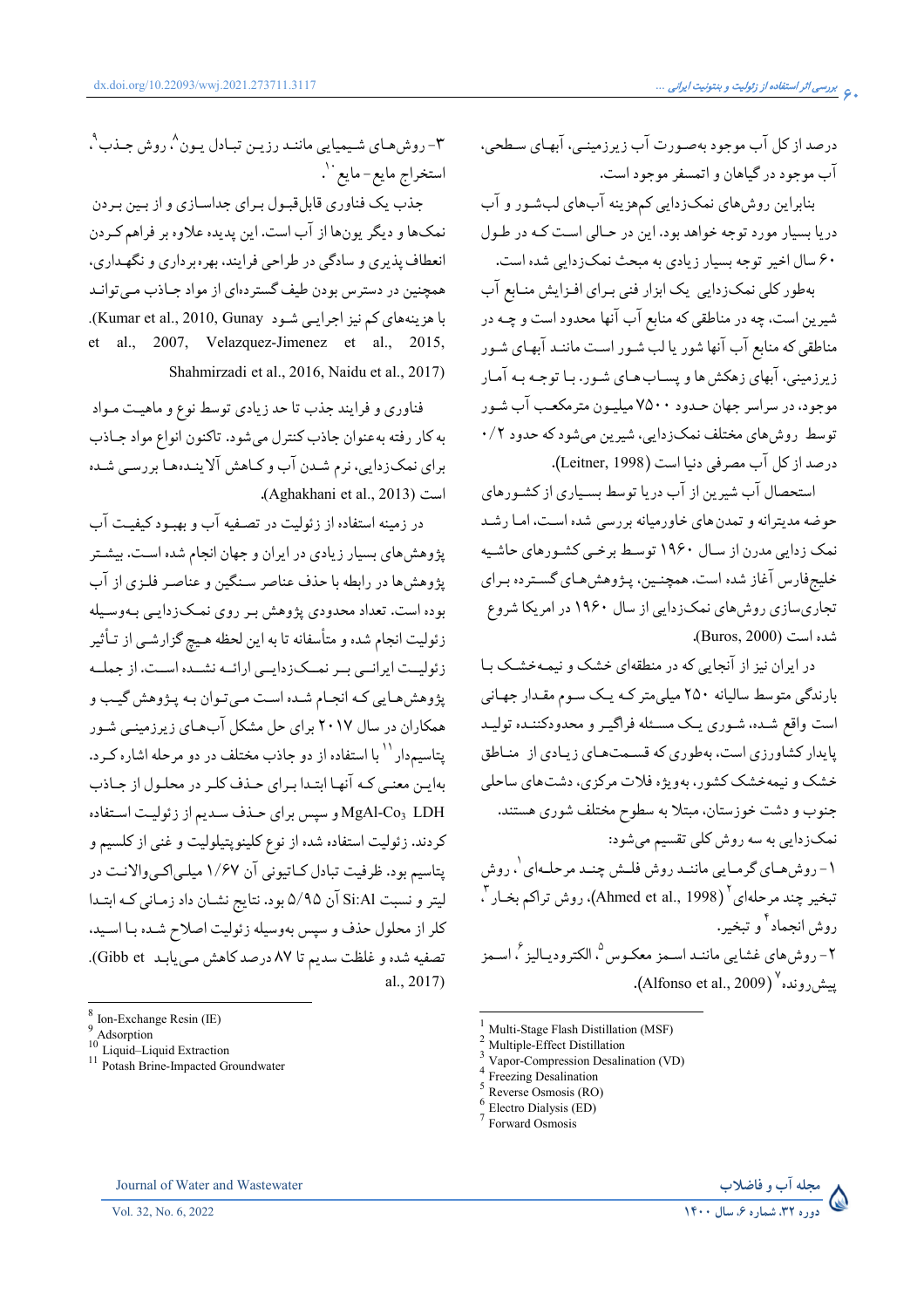درصد از کل آب موجود بهصـورت آب زیرزمینـی، آبهـای سـطحی، آب موجود در گیاهان و اتمسفر موجود است.

بنابراین روشهای نمکزدایی کمهزینه آبهای لبشور و آب دریا بسیار مورد توجه خواهد بود. این در حـالی اسـت کـه در طـول ۶۰ سال اخیر توجه بسیار زیادی به مبحث نمکزدایی شده است.

بهطور کلی نمکزدایی یک ابزار فنی برای افزایش منابع آب شیرین است، چه در مناطقی که منابع آب آنها محدود است و چـه در مناطقی که منابع آب آنها شور یا لب شـور اسـت ماننـد آبهـای شـور زیرزمینی، آبهای زهکش ها و پسـاب هـای شـور. بـا توجـه بـه آمـار موجود، در سراسر جهان حـدود ۷۵۰۰ میلیـون مترمکعـب آب شـور توسط روش،ای مختلف نمکزدایی، شیرین میشود که حدود ۰/۲ درصد از كل آب مصرفي دنيا است (Leitner, 1998).

استحصال آب شیرین از آب دریا توسط بسیاری از کشورهای حوضه مدیترانه و تمدن های خاورمیانه بررسی شده است، امـا رشـد نمک زدایی مدرن از سال ۱۹۶۰ توسط برخمی کشورهای حاشیه خلیجفارس آغاز شده است. همچنـین، پـژوهشهـای گسـترده بـرای تجاریسازی روش،ای نمکزدایی از سال ۱۹۶۰ در امریکا شروع شده است (Buros, 2000).

در ایران نیز از آنجایی که در منطقهای خشک و نیمهخشک با بارندگی متوسط سالیانه ۲۵۰ میلی متر کـه یـک سـوم مقـدار جهـانی است واقع شده، شـوري يـک مسـئله فراگيـر و محدودکننـده توليـد پایدار کشاورزی است، بهطوری که قسمتهای زیادی از مناطق خشک و نیمهخشک کشور، بهویژه فلات مرکزی، دشتهای ساحلی جنوب و دشت خوزستان، مبتلا به سطوح مختلف شوري هستند. نمکزدایی به سه روش کلی تقسیم میشود: ۱- روش هـاي گرمـايي ماننـد روش فلـش چنـد مرحلـهاي `، روش تبغير چند مرحلهاي<sup>٢</sup> (Ahmed et al., 1998)، روش تراكم بخـار <sup>٢</sup>. روش انجماد ′ و تبخیر. ٢- روش هاي غشايي ماننـد اسـمز معكـوس °، الكتروديـاليز °، اسـمز ييش رونده<sup>٧</sup> (Alfonso et al., 2009).

- Reverse Osmosis (RO)
- Electro Dialysis (ED)



٣- روش هـاي شـيميايي ماننـد رزيـن تبـادل يـون^، روش جـذب `، استخراج مايع-مايع``.

جذب یک فناوری قابل قبـول بـرای جداسـازی و از بـین بـردن نمکها و دیگر پونها از آب است. این پدیده علاوه بر فراهم که دن انعطاف پذیری و سادگی در طراحی فرایند، بهره برداری و نگهداری، همچنین در دسترس بودن طیف گستردهای از مواد جـاذب مـی توانـد با هزینههای کم نیز اجرایی شود Kumar et al., 2010, Gunay). al., 2007, Velazquez-Jimenez et al., 2015,  $et$ Shahmirzadi et al., 2016, Naidu et al., 2017)

فناوري و فرايند جذب تا حد زيادي توسط نوع و ماهيت مـواد به كار رفته به عنوان جاذب كنترل مى شود. تاكنون انواع مواد جـاذب برای نمکزدایی، نرم شـدن آب و کـاهش آلاینـدههـا بررسـی شـده .(Aghakhani et al., 2013)

در زمینه استفاده از زئولیت در تصـفیه آب و بهبـود کیفیـت آب یژوهش های بسیار زیادی در ایران و جهان انجام شده است. بیشتر یژوهشها در رابطه با حذف عناصر سنگین و عناصه فلمزی از آب بوده است. تعداد محدودي پژوهش بـر روي نمـکزدايـي بـهوسـيله زئولیت انجام شده و متأسفانه تا به این لحظه هـیج گزارشـی از تـأثیر زئولیت ایرانمی بمر نمسک زدایمی ارائمه نشمده است. از جمله پژوهش هـايي كـه انجـام شـده اسـت مـيتـوان بـه پـژوهش گيـب و همکاران در سال ۲۰۱۷ برای حل مشکل آبهای زیرزمینـی شـور یتاسیمدار `` با استفاده از دو جاذب مختلف در دو مرحله اشاره کـرد. بهایـن معنـی کـه آنهـا ابتـدا بـرای حـذف کلـر در محلـول از جـاذب MgAl-Co3 LDH و سيس براي حـذف سـديم از زئوليـت اسـتفاده کردند. زئولیت استفاده شده از نوع کلینوپتیلولیت و غنی از کلسیم و پتاسیم بود. ظرفیت تبادل کـاتیونی آن ۱/۶۷ میلـیاکـیوالانـت در لیتر و نسبت Si:Al آن ۵/۹۵ بود. نتایج نشـان داد زمـانی کـه ابتـدا كلر از محلول حذف و سپس بهوسيله زئوليت اصلاح شـده بـا اسـيد. تصفيه شده و غلظت سديم تا ٨٧ درصد كاهش مي يابـد Gibb et). al., 2017)

Vol. 32, No. 6, 2022

Journal of Water and Wastewater

Multi-Stage Flash Distillation (MSF)

Multiple-Effect Distillation

Vapor-Compression Desalination (VD) Freezing Desalination

Forward Osmosis

Ion-Exchange Resin (IE)

Adsorption<br>  $^{10}$  Liquid–Liquid Extraction

<sup>&</sup>lt;sup>11</sup> Potash Brine-Impacted Groundwater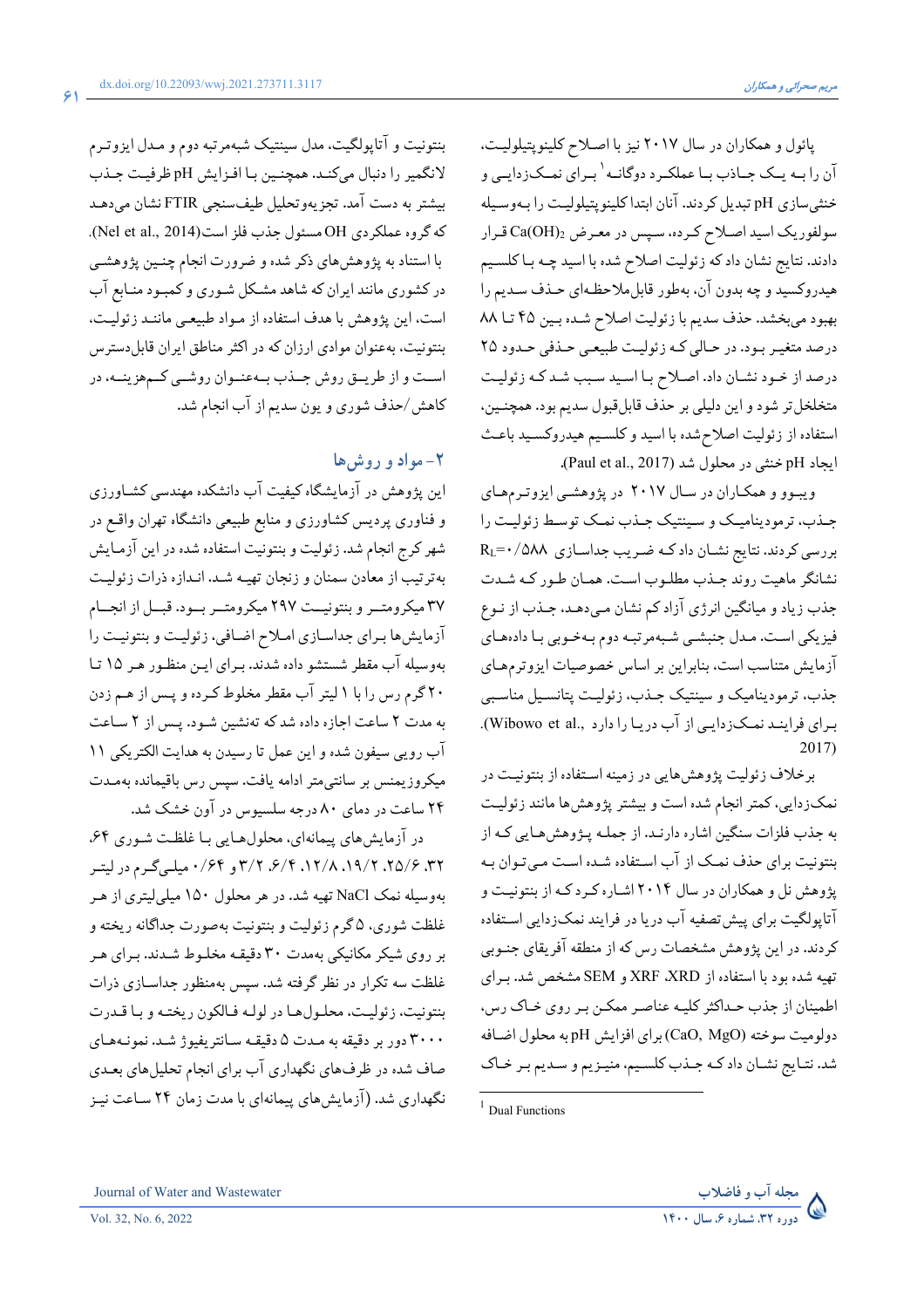پائول و همکاران در سال ۲۰۱۷ نیز با اصلاح کلینوپتیلولیت، آن را بـه يـك جـاذب بـا عملكـرد دوگانـه <sup>\</sup> بـراي نمـكزدايـي و خنثى سازى pH تبديل كردند. آنان ابتدا كلينويتيلوليت را بـهوسـيله سولفوريک اسيد اصلاح کرده، سپس در معرض  $\mathrm{Ca(OH)_2}$ قرار دادند. نتایج نشان داد که زئولیت اصلاح شده با اسید چـه بـا کلسـیم هیدروکسید و چه بدون آن، بهطور قابل.ملاحظـهای حـذف سـدیم را بهبود مي بخشد. حذف سديم با زئوليت اصلاح شـده بـين ۴۵ تـا ٨٨ درصد متغیـر بـود. در حـالي كـه زئوليـت طبيعـي حـذفي حـدود ٢٥ درصد از خـود نشـان داد. اصـلاح بـا اسـيد سـبب شـد كـه زئوليـت متخلخلتر شود و اين دليلي بر حذف قابل قبول سديم بود. همچنـين، استفاده از زئوليت اصلاح شده با اسيد و كلسيم هيدروكسيد باعث ايجاد pH خنثى در محلول شد (Paul et al., 2017).

ویبوو و همکاران در سال ۲۰۱۷ در پژوهشی ایزوترمهای جیذب، تر مودینامیک و سینتیک جیذب نمیک توسیط زئولیت را  $R_L = \cdot / 0$ بررسی کردند. نتایج نشـان داد کـه ضـریب جداسـازی A۸۸ نشانگر ماهیت روند جـذب مطلـوب اسـت. همـان طـور كـه شـدت جذب زیاد و میانگین انرژی آزاد کم نشان مـیدهـد. جـذب از نـوع فیزیکی است. مدل جنبشی شبهمرتبه دوم بهخوبی با دادههای آزمایش متناسب است، بنابراین بر اساس خصوصیات ایزوترمهای جذب، ترمودینامیک و سینتیک جـذب، زئولیـت پتانسـیل مناسـبی برای فرایند نمکزدایی از آب دریا را دارد ,.Wibowo et al).  $2017$ 

برخلاف زئولیت پژوهش هایی در زمینه استفاده از بنتونیت در نمکزدایی، کمتر انجام شده است و بیشتر پژوهشها مانند زئولیت به جذب فلزات سنگین اشاره دارنـد. از جملـه پـژوهشهـایی کـه از بنتونیت برای حذف نمک از آب استفاده شده است میتوان به پژوهش نل و همکاران در سال ۲۰۱۴ اشـاره کـرد کـه از بنتونيـت و آتاپولگیت برای پیش تصفیه آب دریا در فرایند نمکزدایی استفاده کردند. در این پژوهش مشخصات رس که از منطقه آفریقای جنـوبی تهیه شده بود با استفاده از XRF ،XRD و SEM مشخص شد. بـرای اطمینان از جذب حداکثر کلیـه عناصـر ممکـن بـر روي خـاک رس، دولوميت سوخته (CaO, MgO)براي افزايش pH به محلول اضافه شد. نتـايج نشـان داد كـه جـذب كلسـيم، منيـزيم و سـديم بـر خـاك



بنتونیت و آتاپولگیت، مدل سینتیک شبهمرتبه دوم و مـدل ایزوتـرم لانگمیر را دنبال میکند. همچنین با افزایش pH ظرفیت جـذب بیشتر به دست آمد. تجزیهوتحلیل طیفسنجی FTIR نشان میدهـد كه گروه عملكردي OH مسئول جذب فلز است(Nel et al., 2014). با استناد به پژوهشهای ذکر شده و ضرورت انجام چنـین پژوهشـی در کشوری مانند ایران که شاهد مشکل شـوری و کمبـود منـابع آب است، این پژوهش با هدف استفاده از مـواد طبیعـی ماننـد زئولیـت، بنتونیت، بهعنوان موادی ارزان که در اکثر مناطق ایران قابل دسترس اسـت و از طريــق روش جــذب بــهعنــوان روشــي كــمهزينــه، در كاهش/حذف شوري و يون سديم از آب انجام شد.

### $\mathsf{L}$ مواد و روش

این پژوهش در آزمایشگاه کیفیت آب دانشکده مهندسی کشـاورزی و فناوری پردیس کشاورزی و منابع طبیعی دانشگاه تهران واقع در شهر کرج انجام شد. زئولیت و بنتونیت استفاده شده در این آزمایش بهترتیب از معادن سمنان و زنجان تهیـه شـد. انـدازه ذرات زئولیـت ٣٧ ميكرومتــر و بنتونيــت ٢٩٧ ميكرومتــر بــود. قبــل از انجــام آزمایش ها برای جداسازی املاح اضافی، زئولیت و بنتونیت را بهوسیله آب مقطر شستشو داده شدند. برای این منظور هر ۱۵ تا ۲۰ گرم رس را با ۱ لیتر آب مقطر مخلوط کرده و پـس از هـم زدن به مدت ۲ ساعت اجازه داده شد که تهنشین شود. پس از ۲ ساعت آب رويي سيفون شده و اين عمل تا رسيدن به هدايت الكتريكي ١١ میکروزیمنس بر سانتی متر ادامه یافت. سپس رس باقیمانده بهمـدت ۲۴ ساعت در دمای ۸۰ درجه سلسیوس در آون خشک شد.

در آزمایش های پیمانهای، محلول هایی با غلظت شوری ۶۴. ۳۲، ۲۵/۶، ۱۹/۲، ۱۲/۸، ۶/۴، ۳/۲، ۳/۲ و ۰/۶۴، میله گرم در لیت بهوسیله نمک NaCl تهیه شد. در هر محلول ۱۵۰ میلی لیتری از هـر غلظت شوري، ۵ گرم زئوليت و بنتونيت بهصورت جداگانه ريخته و بر روی شیکر مکانیکی بهمدت ۳۰ دقیقه مخلوط شـدند. بـرای هـر غلظت سه تکرار در نظر گرفته شد. سپس بهمنظور جداسـازی ذرات بنتونيت، زئوليت، محلول ها در لولـه فـالكون ريختـه و بـا قـدرت ۳۰۰۰ دور بر دقیقه به مـدت ۵ دقیقـه سـانتریفیوژ شـد. نمونـههـای صاف شده در ظرفهای نگهداری آب برای انجام تحلیلهای بعـدی نگهداری شد. (آزمایش های پیمانهای با مدت زمان ۲۴ سـاعت نیـز

 $1$  Dual Functions

Journal of Water and Wastewater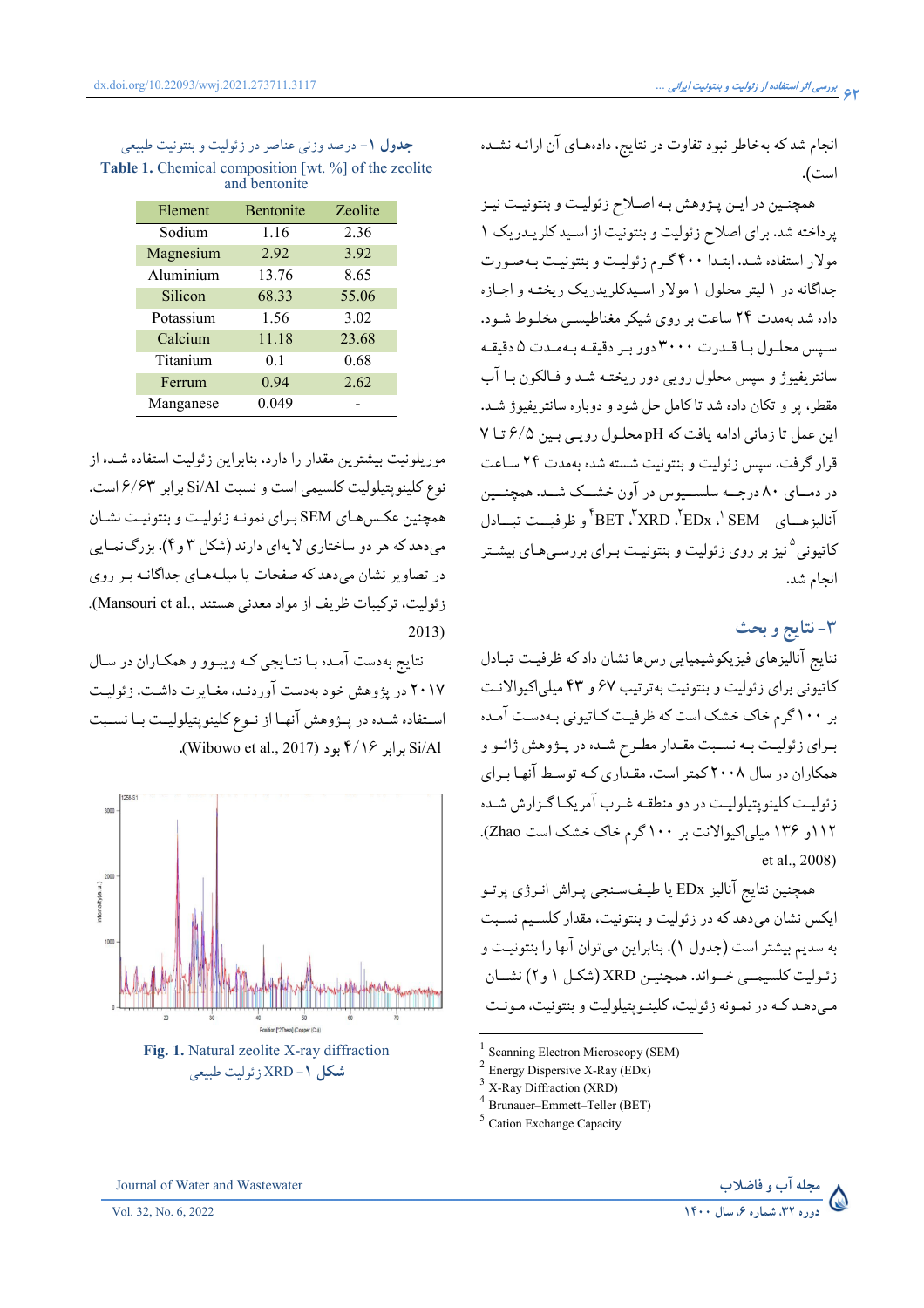انجام شد که بهخاطر نبود تفاوت در نتایج، دادههای آن ارائـه نشـده است).

همچنـین در ایـن پـژوهش بـه اصـلاح زئولیـت و بنتونیـت نیـز پرداخته شد. برای اصلاح زئولیت و بنتونیت از اسید کلریدریک ١ مولار استفاده شد. ابتـدا ۴۰۰ گـرم زئوليـت و بنتونيـت بـهصـورت جداگانه در ۱ لیتر محلول ۱ مولار اسیدکلریدریک ریختـه و اجـازه داده شد بهمدت ۲۴ ساعت بر روی شیکر مغناطیسی مخلوط شود. سيس محلول با قـدرت ٣٠٠٠ دور بـر دقيقـه بـهمـدت ۵ دقيقـه سانتریفیوژ و سپس محلول رویی دور ریختـه شـد و فـالکون بـا آب مقطر، پر و تکان داده شد تاکامل حل شود و دوباره سانتریفیوژ شـد. این عمل تا زمانی ادامه یافت که pH محلول رویبی بین ۶/۵ تا ۷ قرار گرفت. سیس زئولیت و بنتونیت شسته شده بهمدت ٢۴ ساعت در دمــای ۸۰ درجــه سلســیوس در آون خشــک شــد. همچنــین آناليزهـياي BET ، XRD ، <sup>٢</sup>EDx ، ' SEM و ظرفيــت تيــادل کاتیونی<sup>0</sup>نیز بر روی زئولیت و بنتونیـت بـرای بررسـیهـای بیشـتر انجام شد.

۳-نتايج و بحث

نتايج آناليزهاي فيزيكوشيميايي رسها نشان دادكه ظرفيت تبادل کاتیونی برای زئولیت و بنتونیت بهترتیب ۶۷ و ۴۳ میلی اکیوالانت بر ۱۰۰ گرم خاک خشک است که ظرفیت کـاتیونی بـهدسـت آمـده بـراي زئوليـت بـه نسـبت مقـدار مطـرح شـده در پـژوهش ژائـو و همکاران در سال ۲۰۰۸ کمتر است. مقـداری کـه توسـط آنهـا بـرای زئوليت كلينويتيلوليت در دو منطقـه غـرب آمريكـاگـزارش شـده ۱۱۲و ۱۳۶ میلی اکیوالانت بر ۱۰۰ گرم خاک خشک است Zhao). et al., 2008)

همچنین نتایج آنالیز EDx یا طیـفسـنجي پـراش انـرژي پرتـو ايكس نشان مىدهد كه در زئوليت و بنتونيت، مقدار كلسيم نسبت به سديم بيشتر است (جدول ١). بنابراين مي توان آنها را بنتونيـت و زئوليت كلسيمبي خـواند. همچنيـن XRD (شكـل ١ و٢) نشــان مبي دهـد کـه در نمـونه زئوليت، کلينـويتيلوليت و بنتونيت، مـونـت

Scanning Electron Microscopy (SEM)

Energy Dispersive X-Ray (EDx)

X-Ray Diffraction (XRD)

<sup>&</sup>lt;sup>5</sup> Cation Exchange Capacity



| <b>جدول ۱</b> - درصد وزنی عناصر در زئولیت و بنتونیت طبیعی   |
|-------------------------------------------------------------|
| <b>Table 1.</b> Chemical composition [wt. %] of the zeolite |
| and bentonite                                               |

| Element   | Bentonite      | <b>Zeolite</b> |
|-----------|----------------|----------------|
| Sodium    | 1.16           | 2.36           |
| Magnesium | 2.92           | 3.92           |
| Aluminium | 13.76          | 8.65           |
| Silicon   | 68.33          | 55.06          |
| Potassium | 1.56           | 3.02           |
| Calcium   | 11.18          | 23.68          |
| Titanium  | 0 <sub>1</sub> | 0.68           |
| Ferrum    | 0.94           | 2.62           |
| Manganese | 0.049          |                |

موریلونیت بیشترین مقدار را دارد، بنابراین زئولیت استفاده شـده از نوع كلينويتيلوليت كلسيمي است و نسبت Si/Al برابر ۶/۶۳ است. همچنین عکس هـاي SEM بـراي نمونـه زئوليـت و بنتونيـت نشـان میدهد که هر دو ساختاری لایهای دارند (شکل ۳ و ۴). بزرگنمایی در تصاویر نشان می دهد که صفحات یا میلـههـای جداگانـه بـر روی زئوليت، تركيبات ظريف از مواد معدني هستند ,.Mansouri et al).  $2013)$ 

نتايج بهدست آمـده بـا نتـايجي كـه ويبـوو و همكـاران در سـال ۲۰۱۷ در پژوهش خود بهدست آوردنـد، مغـايرت داشـت. زئوليـت استفاده شـده در پــژوهش آنهـا از نــوع كلينوپتيلوليــت بــا نســبت Si/Al برابر ۴/۱۶ بود (Wibowo et al., 2017).



Journal of Water and Wastewater

Brunauer-Emmett-Teller (BET)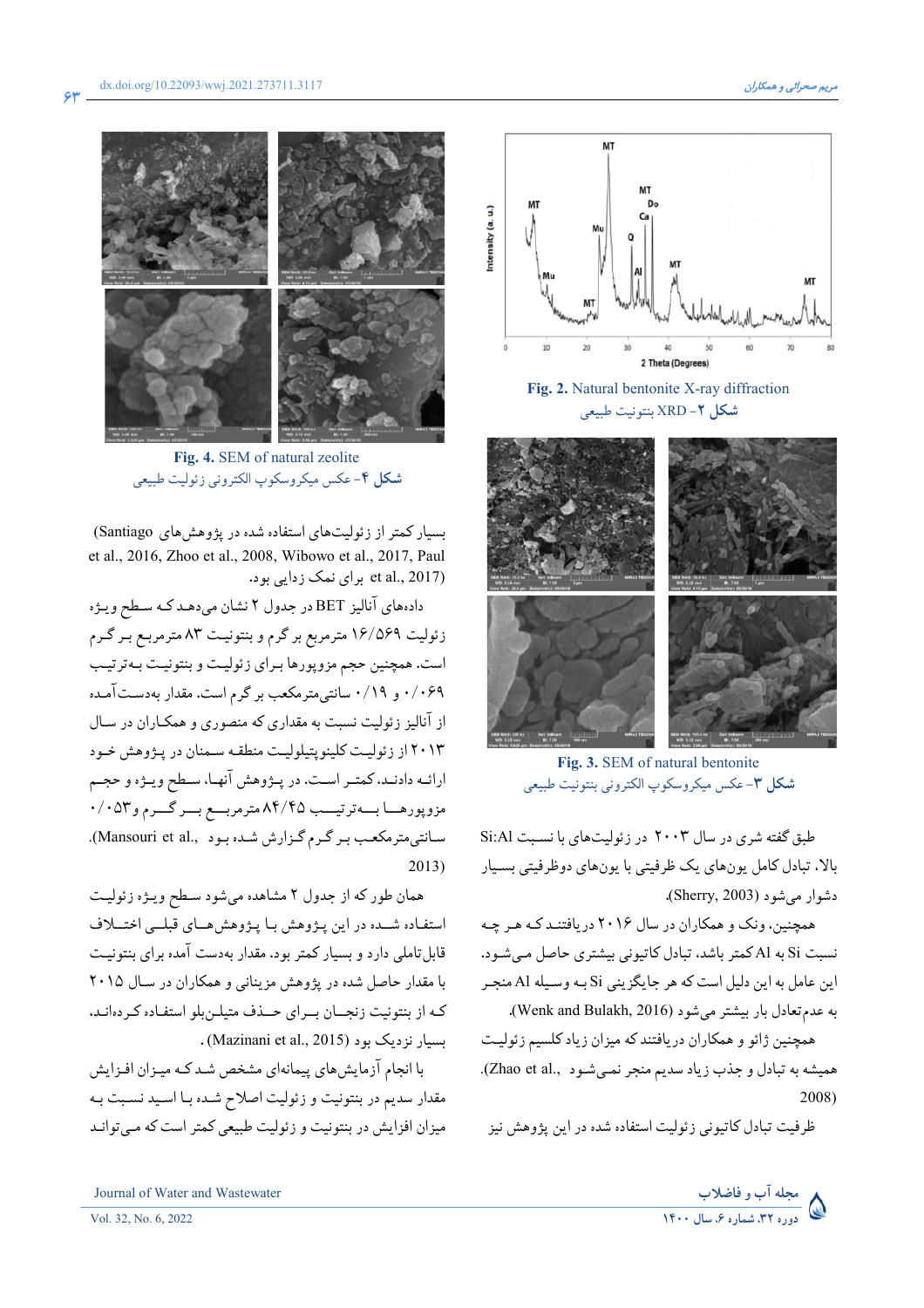

Fig. 4. SEM of natural zeolite شكل ۴-عكس ميكروسكوپ الكتروني زئوليت طبيعي

بسیار کمتر از زئولیتهای استفاده شده در پژوهش های Santiago) et al., 2016, Zhoo et al., 2008, Wibowo et al., 2017, Paul et al., 2017) برای نمک زدایی بود.

دادههای آنالیز BET در جدول ۲ نشان میدهـد کـه سـطح ویـژه زئولیت ۱۶/۵۶۹ مترمربع بر گرم و بنتونیت ۸۳ مترمربع بر گـرم است. همچنین حجم مزوپورها برای زئولیت و بنتونیت بهترتیب ۰/۰۶۹ و ۰/۱۹ سانتی مترمکعب بر گرم است. مقدار بهدستآمده از آنالیز زئولیت نسبت به مقداری که منصوری و همکـاران در سـال ۲۰۱۳ از زئولیت کلینوپتیلولیت منطقه سمنان در پژوهش خـود ارائـه دادنـد، كمتـر اسـت. در پــژوهش آنهـا، سـطح ويــژه و حجــم مزوپورهـا بــهترتيــب ٨۴/۴۵مترمربــع بــركــرم و٥٣٠/٠ سانتي متر مكعب بـر گـرم گـزارش شـده بـود Mansouri et al., ).  $2013)$ 

همان طور که از جدول ۲ مشاهده میشود سطح ویـژه زئولیـت استفاده شمده در این پژوهش با پژوهش های قبلمی اختلاف قابل تاملی دارد و بسیار کمتر بود. مقدار بهدست آمده برای بنتونیت با مقدار حاصل شده در پژوهش مزینانی و همکاران در سال ۲۰۱۵ کـه از بنتونیت زنجــان بــرای حــذف متیلــن بلو استفـاده کـردهانـد، . (Mazinani et al., 2015) بسيار نزديک بود

با انجام آزمایش های پیمانهای مشخص شـد کـه میـزان افـزایش مقدار سدیم در بنتونیت و زئولیت اصلاح شـده بـا اسـید نسـبت بـه میزان افزایش در بنتونیت و زئولیت طبیعی کمتر است که مـیتوانـد



Fig. 2. Natural bentonite X-ray diffraction شكل ٢- XRD بنتونيت طبيعي



Fig. 3. SEM of natural bentonite شكل ٣-عكس ميكروسكوپ الكتروني بنتونيت طبيعي

طبق گفته شري در سال ٢٠٠٣ در زئوليتهاي با نسبت Si:Al بالا، تبادل کامل یونهای یک ظرفیتی با یونهای دوظرفیتی بسـیار دشوار می شود (Sherry, 2003).

همچنین، ونک و همکاران در سال ۲۰۱۶ دریافتند که هر چه نسبت Si به Al کمتر باشد، تبادل کاتیونی بیشتری حاصل مے شـود. اين عامل به اين دليل است كه هر جايگزيني Si بـه وسـيله Al منجـر به عدم تعادل بار بیشتر می شود (Wenk and Bulakh, 2016).

همچنین ژائو و همکاران دریافتند که میزان زیاد کلسیم زئولیت همیشه به تبادل و جذب زیاد سدیم منجر نمـیشـود (Zhao et al., 2008)

ظرفت تبادل کاتیونی زئولیت استفاده شده در این یژوهش نیز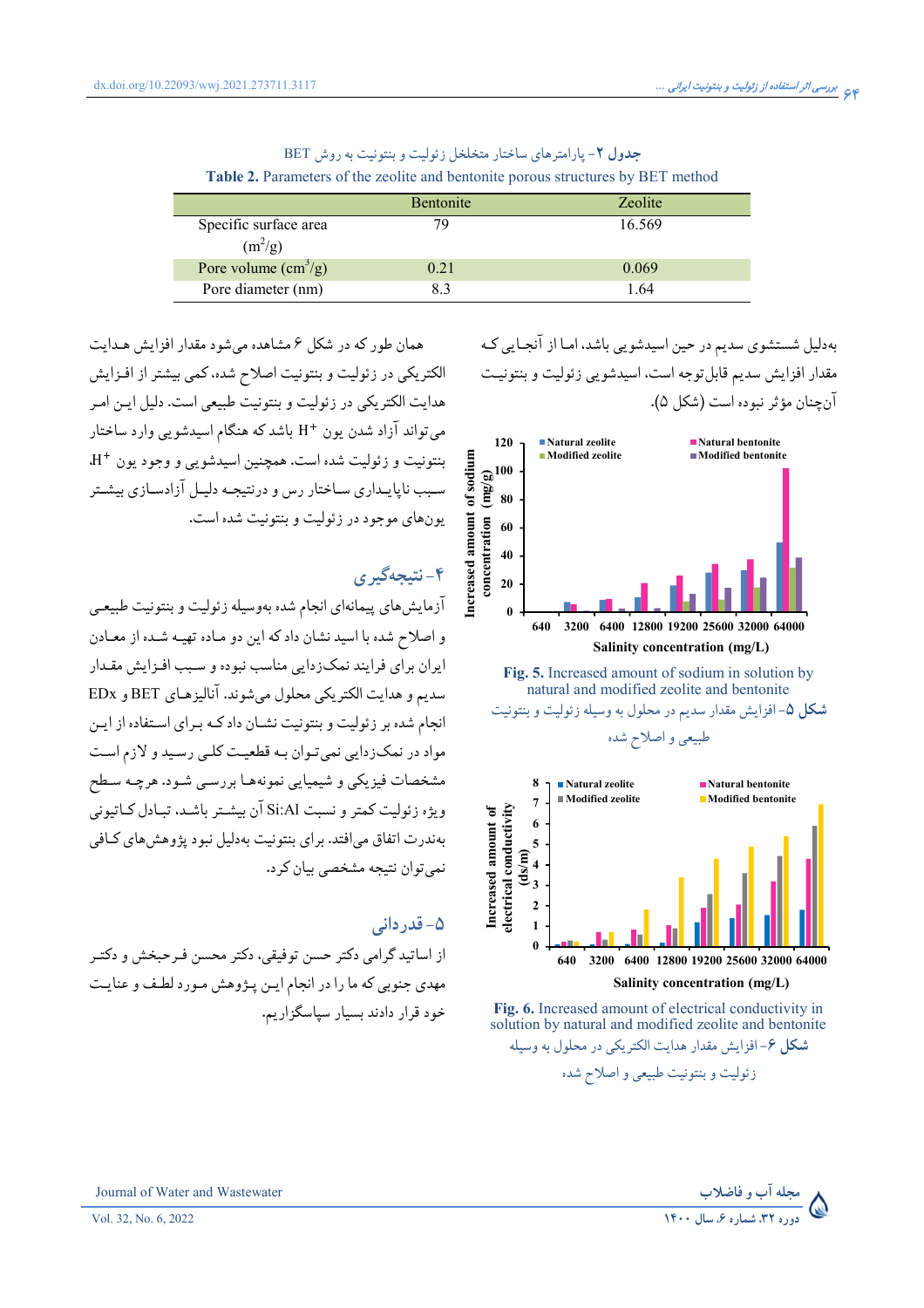| <b>TWORK IT MUMBERS</b> of the <i>Ecolity</i> and <i>contounce</i> porous subductines $\sigma_f$ but memod |                  |         |  |  |
|------------------------------------------------------------------------------------------------------------|------------------|---------|--|--|
|                                                                                                            | <b>Bentonite</b> | Zeolite |  |  |
| Specific surface area<br>$(m^2/g)$                                                                         | 79               | 16.569  |  |  |
| Pore volume $\text{ (cm}^3\text{/g)}$                                                                      | 0.21             | 0.069   |  |  |
| Pore diameter (nm)                                                                                         | 83               | 1.64    |  |  |

جدول ۲- پارامترهای ساختار متخلخل زئولیت و بنتونیت به روش BET **Table 2.** Parameters of the zeolite and bentonite porous structures by BET method

> بهدلیل شستشوی سدیم در حین اسیدشویی باشد. امـا از آنجـایی کـه مقدار افزايش سديم قابل توجه است، اسيدشويي زئوليت و بنتونيت آن چنان مؤثر نبوده است (شکل ۵).



Fig. 5. Increased amount of sodium in solution by natural and modified zeolite and bentonite شکل ۵- افزایش مقدار سدیم در محلول به وسیله زئولیت و بنتونیت طبیعی و اصلاح شده



Fig. 6. Increased amount of electrical conductivity in solution by natural and modified zeolite and bentonite **شکل ۶**–افزایش مقدار هدایت الکتر یکی در محلول به وسیله زئوليت وبنتونيت طبيعي و اصلاح شده

همان طور که در شکل ۶ مشاهده می شود مقدار افزایش هـدایت الکتریکی در زئولیت و بنتونیت اصلاح شده، کمی بیشتر از افـزایش هدايت الكتر يكي در زئوليت و بنتونيت طبيعي است. دليل ايـن امـر می تواند آزاد شدن یون +H باشد که هنگام اسیدشویی وارد ساختار بنتونيت و زئوليت شده است. همچنين اسيدشويي و وجود يون +H. سبب ناپایـداری سـاختار رس و درنتیجـه دلیـل آزادسـازی بیشـتر يون هاي موجود در زئوليت و بنتونيت شده است.

## ۴-نتىجەگىرى

آزمايش هاي پيمانهاي انجام شده بهوسيله زئوليت و بنتونيت طبيعي و اصلاح شده با اسيد نشان داد كه اين دو مـاده تهيـه شـده از معـادن ايران براي فرايند نمكزدايي مناسب نبوده و سـبب افـزايش مقـدار سديم و هدايت الكتريكي محلول مي شوند. آناليزهـاي BET و EDx انجام شده بر زئولیت و بنتونیت نشـان داد کـه بـرای اسـتفاده از ایـن مواد در نمکزدایی نمی تـوان بـه قطعیـت کلـی رسـید و لازم اسـت مشخصات فیزیکی و شیمیایی نمونههـا بررسـی شـود. هرچـه سـطح و پژه زئولت کمتر و نسبت Si:Al آن پیشتر پاشید، تبادل کیاتیونی بهندرت اتفاق می|فتد. برای بنتونیت بهدلیل نبود پژوهش های کـافی نمي توان نتيجه مشخصي بيان كرد.

## ۵– قدردانی

از اساتید گرامی دکتر حسن توفیقی، دکتر محسن فـرحبخش و دکتـر مهدی جنوبی که ما را در انجام ایـن پـژوهش مـورد لطـف و عنایـت خود قرار دادند بسیار سیاسگزاریم.

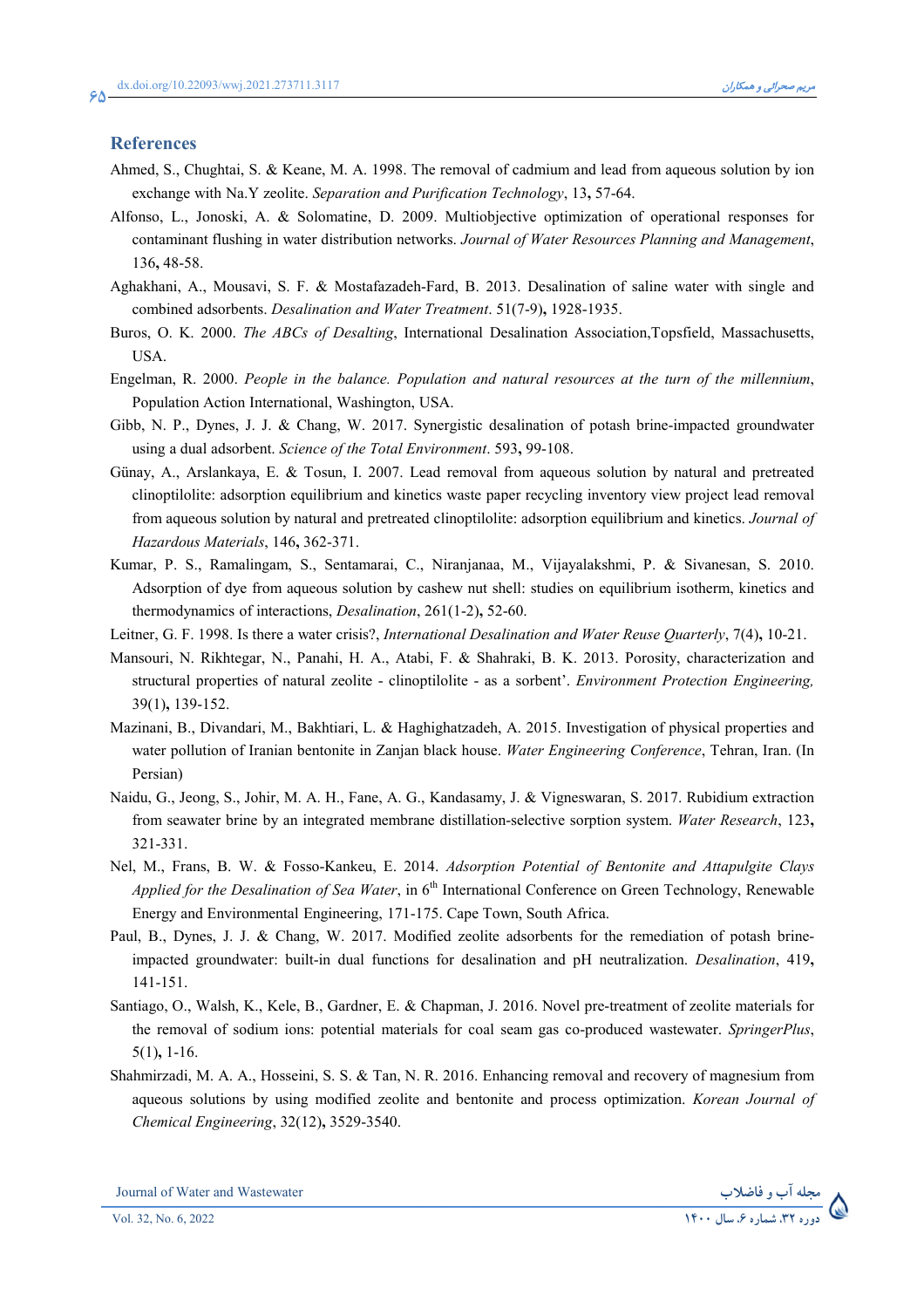#### **References**

- Ahmed, S., Chughtai, S. & Keane, M. A. 1998. The removal of cadmium and lead from aqueous solution by ion exchange with Na.Y zeolite. *Separation and Purification Technology*, 13**,** 57-64.
- Alfonso, L., Jonoski, A. & Solomatine, D. 2009. Multiobjective optimization of operational responses for contaminant flushing in water distribution networks. *Journal of Water Resources Planning and Management*, 136**,** 48-58.
- Aghakhani, A., Mousavi, S. F. & Mostafazadeh-Fard, B. 2013. Desalination of saline water with single and combined adsorbents. *Desalination and Water Treatment*. 51(7-9)**,** 1928-1935.
- Buros, O. K. 2000. *The ABCs of Desalting*, International Desalination Association,Topsfield, Massachusetts, USA.
- Engelman, R. 2000. *People in the balance. Population and natural resources at the turn of the millennium*, Population Action International, Washington, USA.
- Gibb, N. P., Dynes, J. J. & Chang, W. 2017. Synergistic desalination of potash brine-impacted groundwater using a dual adsorbent. *Science of the Total Environment*. 593**,** 99-108.
- Günay, A., Arslankaya, E. & Tosun, I. 2007. Lead removal from aqueous solution by natural and pretreated clinoptilolite: adsorption equilibrium and kinetics waste paper recycling inventory view project lead removal from aqueous solution by natural and pretreated clinoptilolite: adsorption equilibrium and kinetics. *Journal of Hazardous Materials*, 146**,** 362-371.
- Kumar, P. S., Ramalingam, S., Sentamarai, C., Niranjanaa, M., Vijayalakshmi, P. & Sivanesan, S. 2010. Adsorption of dye from aqueous solution by cashew nut shell: studies on equilibrium isotherm, kinetics and thermodynamics of interactions, *Desalination*, 261(1-2)**,** 52-60.
- Leitner, G. F. 1998. Is there a water crisis?, *International Desalination and Water Reuse Quarterly*, 7(4)**,** 10-21.
- Mansouri, N. Rikhtegar, N., Panahi, H. A., Atabi, F. & Shahraki, B. K. 2013. Porosity, characterization and structural properties of natural zeolite - clinoptilolite - as a sorbent'. *Environment Protection Engineering,* 39(1)**,** 139-152.
- Mazinani, B., Divandari, M., Bakhtiari, L. & Haghighatzadeh, A. 2015. Investigation of physical properties and water pollution of Iranian bentonite in Zanjan black house. *Water Engineering Conference*, Tehran, Iran. (In Persian)
- Naidu, G., Jeong, S., Johir, M. A. H., Fane, A. G., Kandasamy, J. & Vigneswaran, S. 2017. Rubidium extraction from seawater brine by an integrated membrane distillation-selective sorption system. *Water Research*, 123**,** 321-331.
- Nel, M., Frans, B. W. & Fosso-Kankeu, E. 2014. *Adsorption Potential of Bentonite and Attapulgite Clays Applied for the Desalination of Sea Water*, in 6<sup>th</sup> International Conference on Green Technology, Renewable Energy and Environmental Engineering, 171-175. Cape Town, South Africa.
- Paul, B., Dynes, J. J. & Chang, W. 2017. Modified zeolite adsorbents for the remediation of potash brineimpacted groundwater: built-in dual functions for desalination and pH neutralization. *Desalination*, 419**,** 141-151.
- Santiago, O., Walsh, K., Kele, B., Gardner, E. & Chapman, J. 2016. Novel pre-treatment of zeolite materials for the removal of sodium ions: potential materials for coal seam gas co-produced wastewater. *SpringerPlus*, 5(1)**,** 1-16.
- Shahmirzadi, M. A. A., Hosseini, S. S. & Tan, N. R. 2016. Enhancing removal and recovery of magnesium from aqueous solutions by using modified zeolite and bentonite and process optimization. *Korean Journal of Chemical Engineering*, 32(12)**,** 3529-3540.